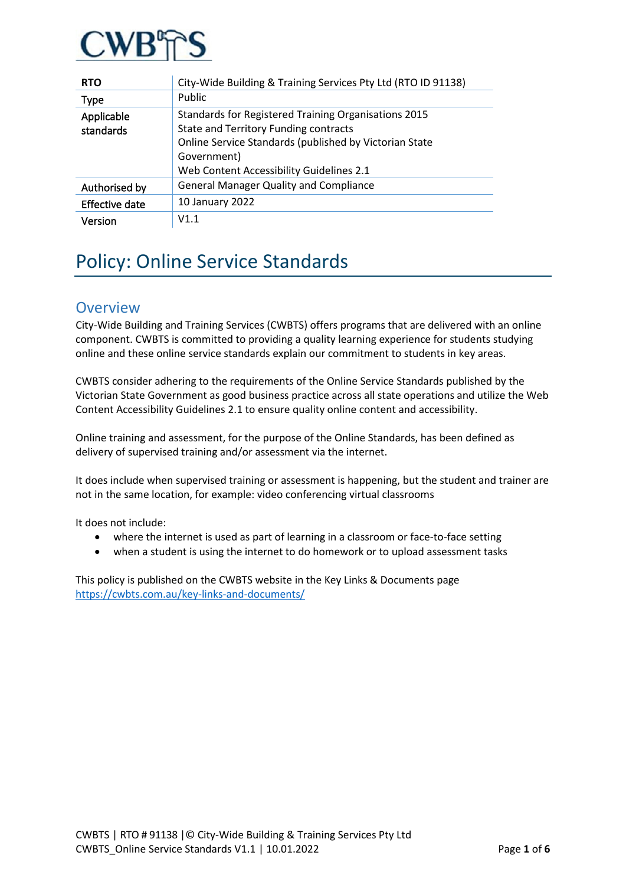

| <b>RTO</b>              | City-Wide Building & Training Services Pty Ltd (RTO ID 91138)                                                                                                                                                             |
|-------------------------|---------------------------------------------------------------------------------------------------------------------------------------------------------------------------------------------------------------------------|
| <b>Type</b>             | Public                                                                                                                                                                                                                    |
| Applicable<br>standards | Standards for Registered Training Organisations 2015<br><b>State and Territory Funding contracts</b><br>Online Service Standards (published by Victorian State<br>Government)<br>Web Content Accessibility Guidelines 2.1 |
| Authorised by           | <b>General Manager Quality and Compliance</b>                                                                                                                                                                             |
| Effective date          | 10 January 2022                                                                                                                                                                                                           |
| Version                 | V1.1                                                                                                                                                                                                                      |

# Policy: Online Service Standards

### **Overview**

City-Wide Building and Training Services (CWBTS) offers programs that are delivered with an online component. CWBTS is committed to providing a quality learning experience for students studying online and these online service standards explain our commitment to students in key areas.

CWBTS consider adhering to the requirements of the Online Service Standards published by the Victorian State Government as good business practice across all state operations and utilize the Web Content Accessibility Guidelines 2.1 to ensure quality online content and accessibility.

Online training and assessment, for the purpose of the Online Standards, has been defined as delivery of supervised training and/or assessment via the internet.

It does include when supervised training or assessment is happening, but the student and trainer are not in the same location, for example: video conferencing virtual classrooms

It does not include:

- where the internet is used as part of learning in a classroom or face-to-face setting
- when a student is using the internet to do homework or to upload assessment tasks

This policy is published on the CWBTS website in the Key Links & Documents page <https://cwbts.com.au/key-links-and-documents/>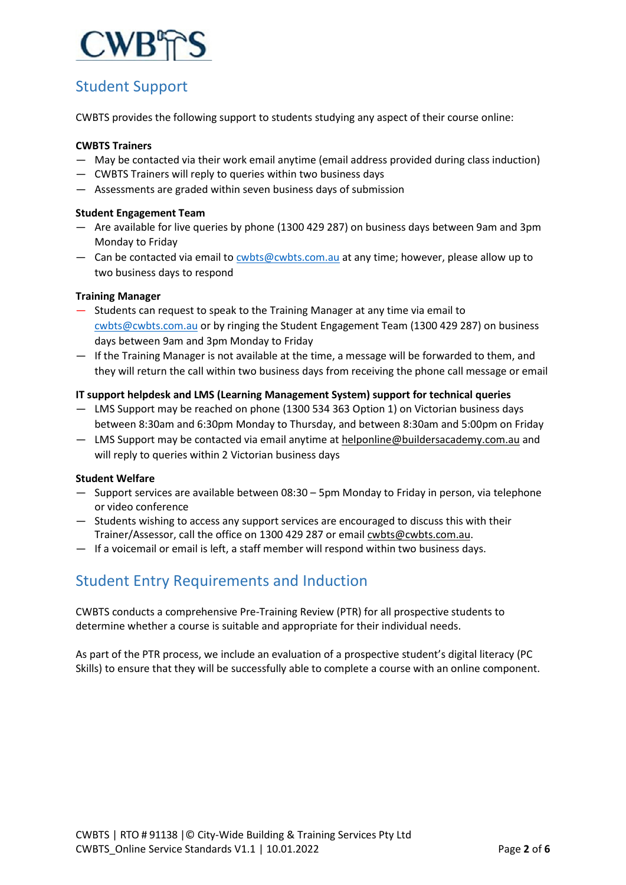

# Student Support

CWBTS provides the following support to students studying any aspect of their course online:

#### **CWBTS Trainers**

- May be contacted via their work email anytime (email address provided during class induction)
- CWBTS Trainers will reply to queries within two business days
- Assessments are graded within seven business days of submission

#### **Student Engagement Team**

- Are available for live queries by phone (1300 429 287) on business days between 9am and 3pm Monday to Friday
- Can be contacted via email t[o cwbts@cwbts.com.au](mailto:cwbts@cwbts.com.au) at any time; however, please allow up to two business days to respond

#### **Training Manager**

- Students can request to speak to the Training Manager at any time via email to [cwbts@cwbts.com.au](mailto:cwbts@cwbts.com.au) or by ringing the Student Engagement Team (1300 429 287) on business days between 9am and 3pm Monday to Friday
- If the Training Manager is not available at the time, a message will be forwarded to them, and they will return the call within two business days from receiving the phone call message or email

#### **IT support helpdesk and LMS (Learning Management System) support for technical queries**

- LMS Support may be reached on phone (1300 534 363 Option 1) on Victorian business days between 8:30am and 6:30pm Monday to Thursday, and between 8:30am and 5:00pm on Friday
- LMS Support may be contacted via email anytime at [helponline@buildersacademy.com.au](mailto:helponline@buildersacademy.com.au) and will reply to queries within 2 Victorian business days

#### **Student Welfare**

- Support services are available between 08:30 5pm Monday to Friday in person, via telephone or video conference
- Students wishing to access any support services are encouraged to discuss this with their Trainer/Assessor, call the office on 1300 429 287 or email [cwbts@cwbts.com.au.](mailto:enquiries@buildersacademy.com.au)
- If a voicemail or email is left, a staff member will respond within two business days.

# Student Entry Requirements and Induction

CWBTS conducts a comprehensive Pre-Training Review (PTR) for all prospective students to determine whether a course is suitable and appropriate for their individual needs.

As part of the PTR process, we include an evaluation of a prospective student's digital literacy (PC Skills) to ensure that they will be successfully able to complete a course with an online component.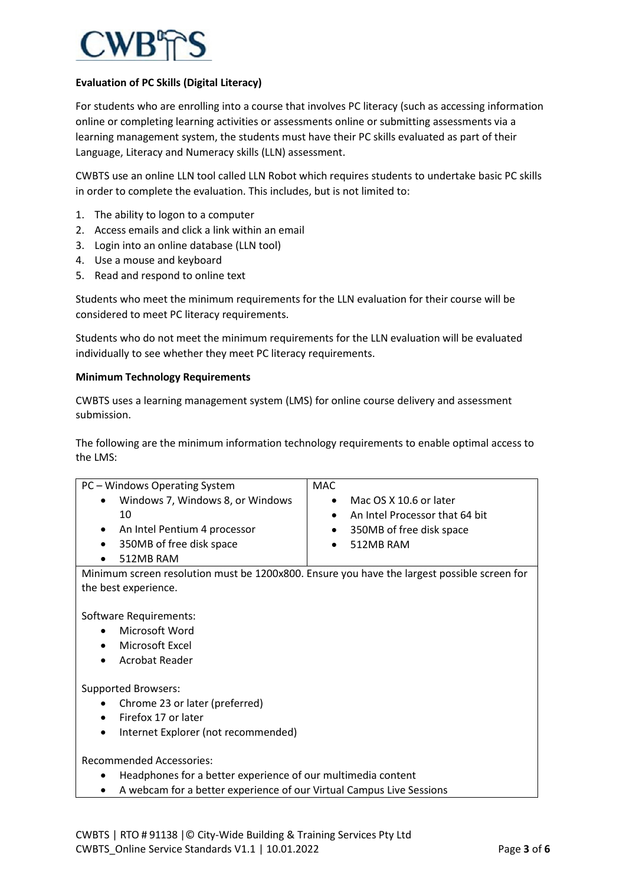

#### **Evaluation of PC Skills (Digital Literacy)**

For students who are enrolling into a course that involves PC literacy (such as accessing information online or completing learning activities or assessments online or submitting assessments via a learning management system, the students must have their PC skills evaluated as part of their Language, Literacy and Numeracy skills (LLN) assessment.

CWBTS use an online LLN tool called LLN Robot which requires students to undertake basic PC skills in order to complete the evaluation. This includes, but is not limited to:

- 1. The ability to logon to a computer
- 2. Access emails and click a link within an email
- 3. Login into an online database (LLN tool)
- 4. Use a mouse and keyboard
- 5. Read and respond to online text

Students who meet the minimum requirements for the LLN evaluation for their course will be considered to meet PC literacy requirements.

Students who do not meet the minimum requirements for the LLN evaluation will be evaluated individually to see whether they meet PC literacy requirements.

#### **Minimum Technology Requirements**

CWBTS uses a learning management system (LMS) for online course delivery and assessment submission.

The following are the minimum information technology requirements to enable optimal access to the LMS:

| PC - Windows Operating System                                                               | MAC.                                        |  |  |
|---------------------------------------------------------------------------------------------|---------------------------------------------|--|--|
| Windows 7, Windows 8, or Windows                                                            | Mac OS X 10.6 or later                      |  |  |
| 10                                                                                          | An Intel Processor that 64 bit<br>$\bullet$ |  |  |
| An Intel Pentium 4 processor                                                                | 350MB of free disk space                    |  |  |
| 350MB of free disk space                                                                    | 512MB RAM                                   |  |  |
| 512MB RAM                                                                                   |                                             |  |  |
| Minimum screen resolution must be 1200x800. Ensure you have the largest possible screen for |                                             |  |  |
| the best experience.                                                                        |                                             |  |  |
|                                                                                             |                                             |  |  |
| Software Requirements:                                                                      |                                             |  |  |
| Microsoft Word                                                                              |                                             |  |  |
| Microsoft Excel                                                                             |                                             |  |  |
| <b>Acrobat Reader</b>                                                                       |                                             |  |  |
|                                                                                             |                                             |  |  |
| <b>Supported Browsers:</b>                                                                  |                                             |  |  |
| Chrome 23 or later (preferred)                                                              |                                             |  |  |
| Firefox 17 or later                                                                         |                                             |  |  |
| Internet Explorer (not recommended)                                                         |                                             |  |  |
|                                                                                             |                                             |  |  |
| <b>Recommended Accessories:</b>                                                             |                                             |  |  |
| Headphones for a better experience of our multimedia content                                |                                             |  |  |
| A webcam for a better experience of our Virtual Campus Live Sessions                        |                                             |  |  |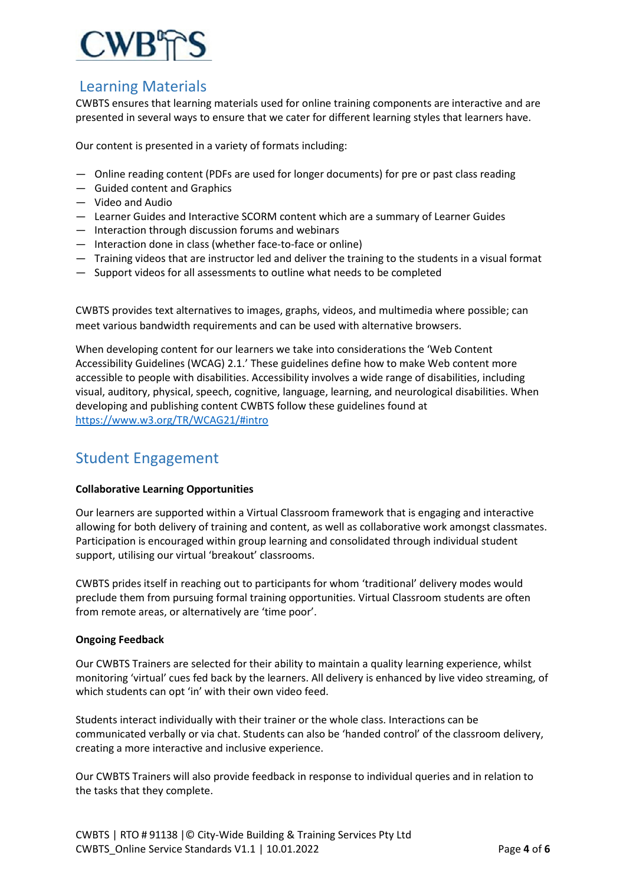

## Learning Materials

CWBTS ensures that learning materials used for online training components are interactive and are presented in several ways to ensure that we cater for different learning styles that learners have.

Our content is presented in a variety of formats including:

- Online reading content (PDFs are used for longer documents) for pre or past class reading
- Guided content and Graphics
- Video and Audio
- Learner Guides and Interactive SCORM content which are a summary of Learner Guides
- Interaction through discussion forums and webinars
- Interaction done in class (whether face-to-face or online)
- Training videos that are instructor led and deliver the training to the students in a visual format
- Support videos for all assessments to outline what needs to be completed

CWBTS provides text alternatives to images, graphs, videos, and multimedia where possible; can meet various bandwidth requirements and can be used with alternative browsers.

When developing content for our learners we take into considerations the 'Web Content Accessibility Guidelines (WCAG) 2.1.' These guidelines define how to make Web content more accessible to people with disabilities. Accessibility involves a wide range of disabilities, including visual, auditory, physical, speech, cognitive, language, learning, and neurological disabilities. When developing and publishing content CWBTS follow these guidelines found at <https://www.w3.org/TR/WCAG21/#intro>

### Student Engagement

#### **Collaborative Learning Opportunities**

Our learners are supported within a Virtual Classroom framework that is engaging and interactive allowing for both delivery of training and content, as well as collaborative work amongst classmates. Participation is encouraged within group learning and consolidated through individual student support, utilising our virtual 'breakout' classrooms.

CWBTS prides itself in reaching out to participants for whom 'traditional' delivery modes would preclude them from pursuing formal training opportunities. Virtual Classroom students are often from remote areas, or alternatively are 'time poor'.

#### **Ongoing Feedback**

Our CWBTS Trainers are selected for their ability to maintain a quality learning experience, whilst monitoring 'virtual' cues fed back by the learners. All delivery is enhanced by live video streaming, of which students can opt 'in' with their own video feed.

Students interact individually with their trainer or the whole class. Interactions can be communicated verbally or via chat. Students can also be 'handed control' of the classroom delivery, creating a more interactive and inclusive experience.

Our CWBTS Trainers will also provide feedback in response to individual queries and in relation to the tasks that they complete.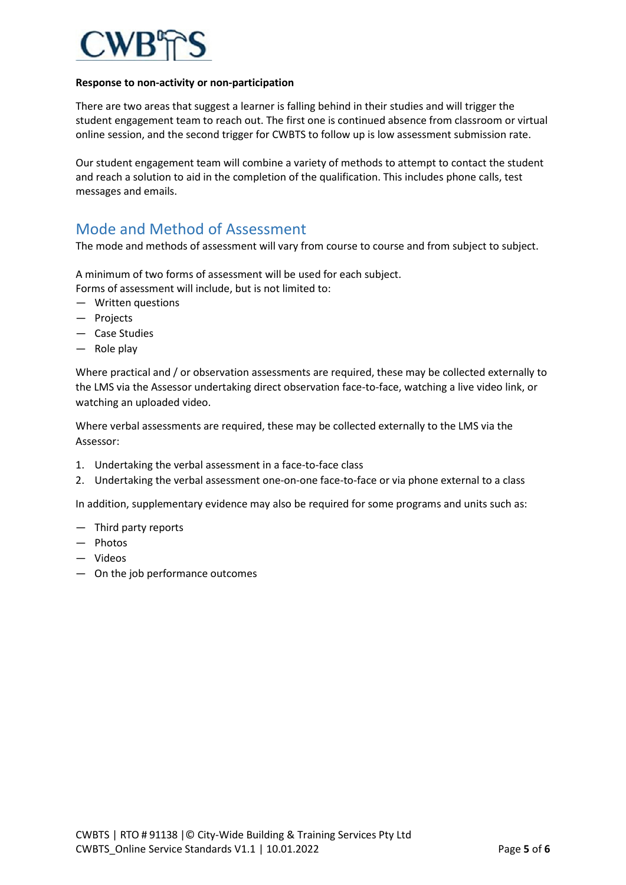

#### **Response to non-activity or non-participation**

There are two areas that suggest a learner is falling behind in their studies and will trigger the student engagement team to reach out. The first one is continued absence from classroom or virtual online session, and the second trigger for CWBTS to follow up is low assessment submission rate.

Our student engagement team will combine a variety of methods to attempt to contact the student and reach a solution to aid in the completion of the qualification. This includes phone calls, test messages and emails.

# Mode and Method of Assessment

The mode and methods of assessment will vary from course to course and from subject to subject.

A minimum of two forms of assessment will be used for each subject. Forms of assessment will include, but is not limited to:

- Written questions
- Projects
- Case Studies
- Role play

Where practical and / or observation assessments are required, these may be collected externally to the LMS via the Assessor undertaking direct observation face-to-face, watching a live video link, or watching an uploaded video.

Where verbal assessments are required, these may be collected externally to the LMS via the Assessor:

- 1. Undertaking the verbal assessment in a face-to-face class
- 2. Undertaking the verbal assessment one-on-one face-to-face or via phone external to a class

In addition, supplementary evidence may also be required for some programs and units such as:

- Third party reports
- Photos
- Videos
- On the job performance outcomes